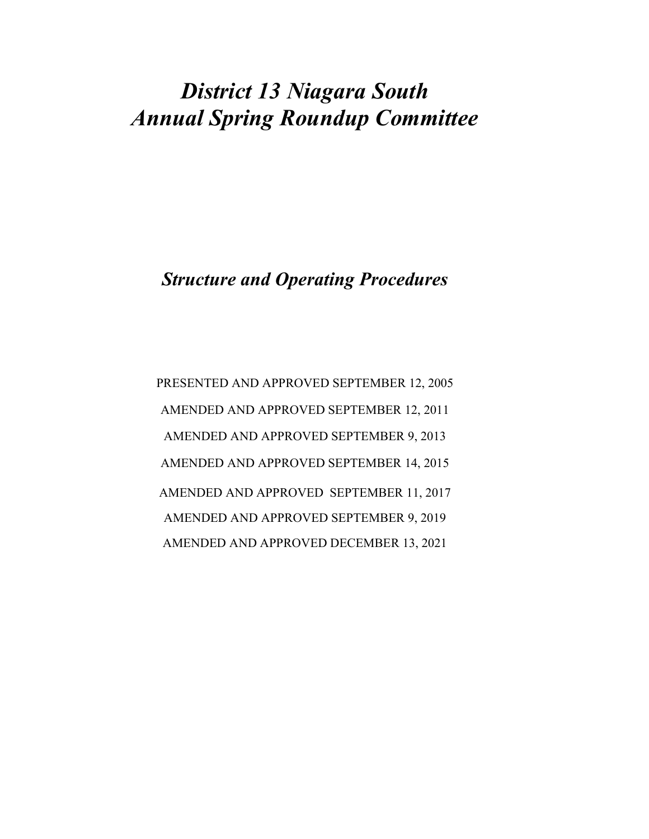# District 13 Niagara South Annual Spring Roundup Committee

Structure and Operating Procedures

PRESENTED AND APPROVED SEPTEMBER 12, 2005 AMENDED AND APPROVED SEPTEMBER 12, 2011 AMENDED AND APPROVED SEPTEMBER 9, 2013 AMENDED AND APPROVED SEPTEMBER 14, 2015 AMENDED AND APPROVED SEPTEMBER 11, 2017 AMENDED AND APPROVED SEPTEMBER 9, 2019 AMENDED AND APPROVED DECEMBER 13, 2021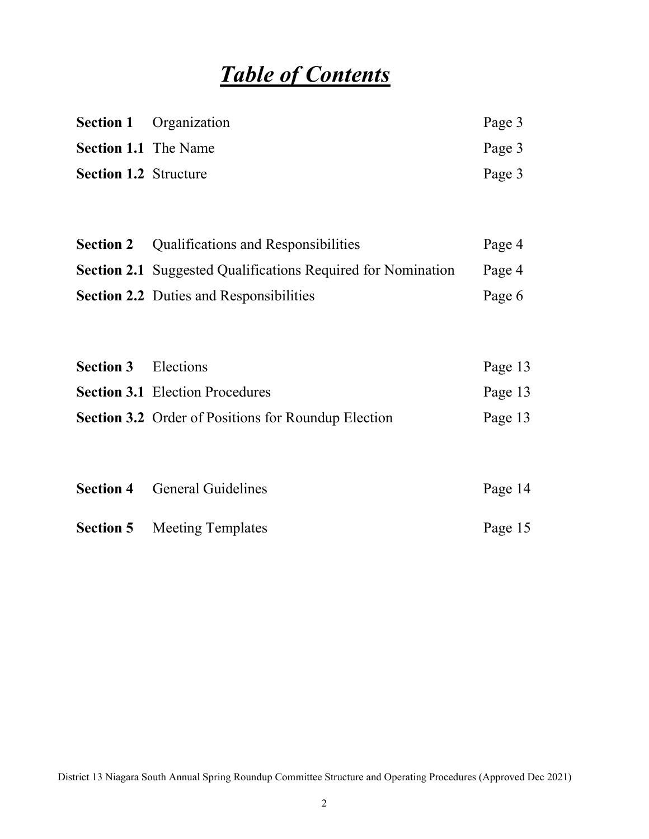# Table of Contents

|                              | <b>Section 1</b> Organization | Page 3 |
|------------------------------|-------------------------------|--------|
| <b>Section 1.1</b> The Name  |                               | Page 3 |
| <b>Section 1.2</b> Structure |                               | Page 3 |

| <b>Section 2</b> Qualifications and Responsibilities                | Page 4 |
|---------------------------------------------------------------------|--------|
| <b>Section 2.1</b> Suggested Qualifications Required for Nomination | Page 4 |
| <b>Section 2.2</b> Duties and Responsibilities                      | Page 6 |

| <b>Section 3</b> Elections |                                                            | Page 13 |
|----------------------------|------------------------------------------------------------|---------|
|                            | <b>Section 3.1</b> Election Procedures                     | Page 13 |
|                            | <b>Section 3.2</b> Order of Positions for Roundup Election | Page 13 |

| <b>Section 4</b> General Guidelines | Page 14 |
|-------------------------------------|---------|
| <b>Section 5</b> Meeting Templates  | Page 15 |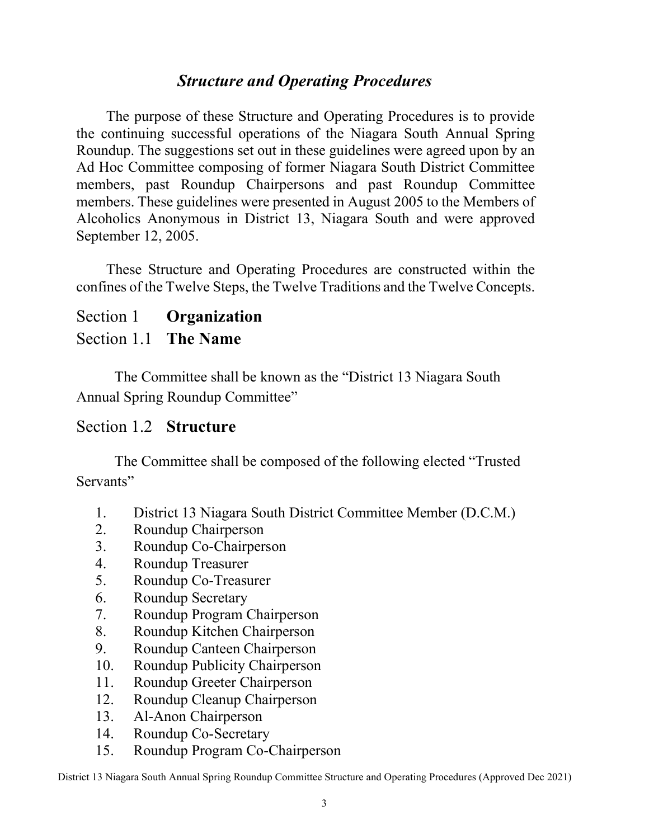## Structure and Operating Procedures

The purpose of these Structure and Operating Procedures is to provide the continuing successful operations of the Niagara South Annual Spring Roundup. The suggestions set out in these guidelines were agreed upon by an Ad Hoc Committee composing of former Niagara South District Committee members, past Roundup Chairpersons and past Roundup Committee members. These guidelines were presented in August 2005 to the Members of Alcoholics Anonymous in District 13, Niagara South and were approved September 12, 2005.

These Structure and Operating Procedures are constructed within the confines of the Twelve Steps, the Twelve Traditions and the Twelve Concepts.

#### Section 1 Organization

#### Section 1.1 The Name

The Committee shall be known as the "District 13 Niagara South Annual Spring Roundup Committee"

#### Section 1.2 Structure

The Committee shall be composed of the following elected "Trusted Servants"

- 1. District 13 Niagara South District Committee Member (D.C.M.)
- 2. Roundup Chairperson
- 3. Roundup Co-Chairperson
- 4. Roundup Treasurer
- 5. Roundup Co-Treasurer
- 6. Roundup Secretary
- 7. Roundup Program Chairperson
- 8. Roundup Kitchen Chairperson
- 9. Roundup Canteen Chairperson
- 10. Roundup Publicity Chairperson
- 11. Roundup Greeter Chairperson
- 12. Roundup Cleanup Chairperson
- 13. Al-Anon Chairperson
- 14. Roundup Co-Secretary
- 15. Roundup Program Co-Chairperson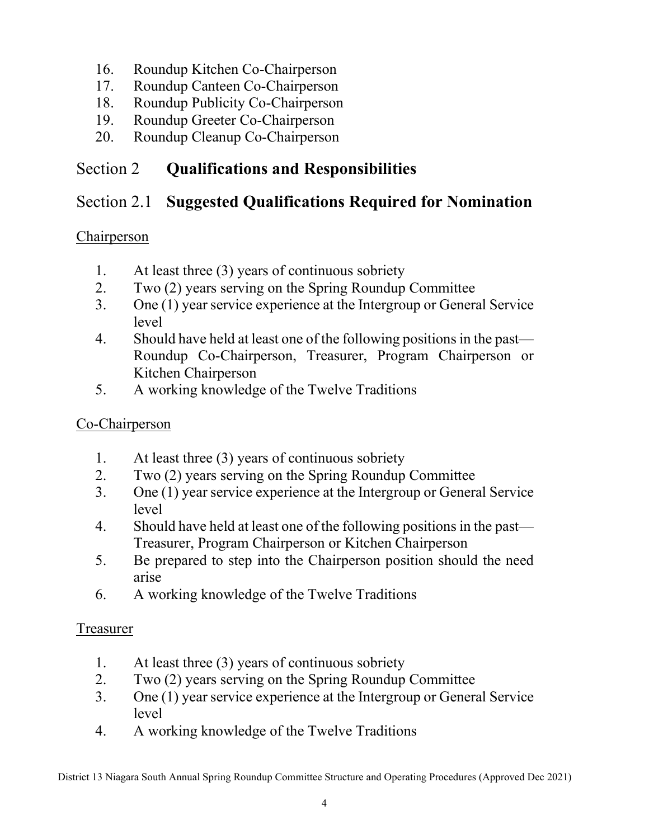- 16. Roundup Kitchen Co-Chairperson
- 17. Roundup Canteen Co-Chairperson
- 18. Roundup Publicity Co-Chairperson
- 19. Roundup Greeter Co-Chairperson
- 20. Roundup Cleanup Co-Chairperson

# Section 2 **Qualifications and Responsibilities**

# Section 2.1 Suggested Qualifications Required for Nomination

# Chairperson

- 1. At least three (3) years of continuous sobriety
- 2. Two (2) years serving on the Spring Roundup Committee
- 3. One (1) year service experience at the Intergroup or General Service level
- 4. Should have held at least one of the following positions in the past— Roundup Co-Chairperson, Treasurer, Program Chairperson or Kitchen Chairperson
- 5. A working knowledge of the Twelve Traditions

# Co-Chairperson

- 1. At least three (3) years of continuous sobriety
- 2. Two (2) years serving on the Spring Roundup Committee
- 3. One (1) year service experience at the Intergroup or General Service level
- 4. Should have held at least one of the following positions in the past— Treasurer, Program Chairperson or Kitchen Chairperson
- 5. Be prepared to step into the Chairperson position should the need arise
- 6. A working knowledge of the Twelve Traditions

## Treasurer

- 1. At least three (3) years of continuous sobriety
- 2. Two (2) years serving on the Spring Roundup Committee
- 3. One (1) year service experience at the Intergroup or General Service level
- 4. A working knowledge of the Twelve Traditions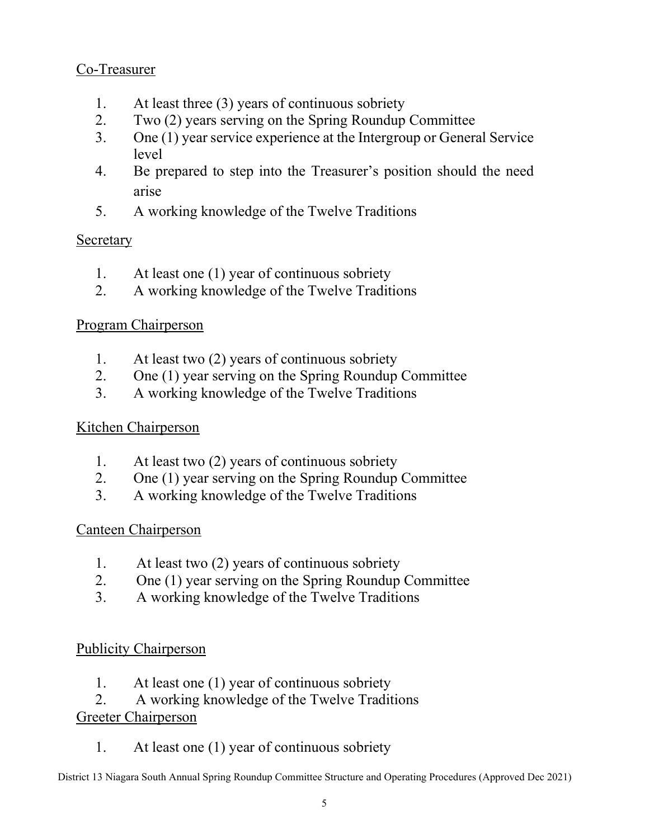## Co-Treasurer

- 1. At least three (3) years of continuous sobriety
- 2. Two (2) years serving on the Spring Roundup Committee
- 3. One (1) year service experience at the Intergroup or General Service level
- 4. Be prepared to step into the Treasurer's position should the need arise
- 5. A working knowledge of the Twelve Traditions

## Secretary

- 1. At least one (1) year of continuous sobriety
- 2. A working knowledge of the Twelve Traditions

## Program Chairperson

- 1. At least two (2) years of continuous sobriety
- 2. One (1) year serving on the Spring Roundup Committee
- 3. A working knowledge of the Twelve Traditions

## Kitchen Chairperson

- 1. At least two (2) years of continuous sobriety
- 2. One (1) year serving on the Spring Roundup Committee
- 3. A working knowledge of the Twelve Traditions

## Canteen Chairperson

- 1. At least two (2) years of continuous sobriety
- 2. One (1) year serving on the Spring Roundup Committee
- 3. A working knowledge of the Twelve Traditions

## Publicity Chairperson

- 1. At least one (1) year of continuous sobriety
- 2. A working knowledge of the Twelve Traditions

## Greeter Chairperson

1. At least one (1) year of continuous sobriety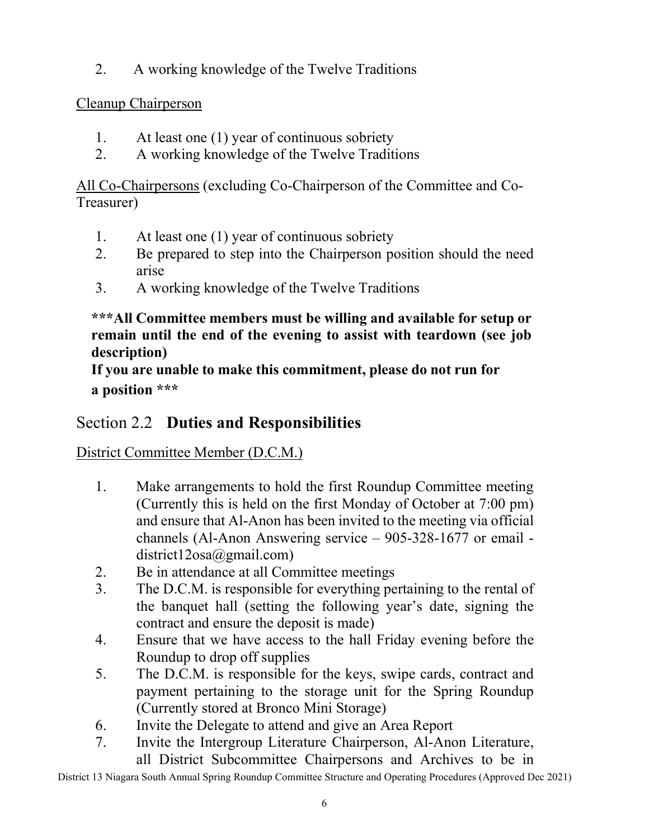2. A working knowledge of the Twelve Traditions

## Cleanup Chairperson

- 1. At least one (1) year of continuous sobriety
- 2. A working knowledge of the Twelve Traditions

All Co-Chairpersons (excluding Co-Chairperson of the Committee and Co-Treasurer)

- 1. At least one (1) year of continuous sobriety
- 2. Be prepared to step into the Chairperson position should the need arise
- 3. A working knowledge of the Twelve Traditions

#### \*\*\*All Committee members must be willing and available for setup or remain until the end of the evening to assist with teardown (see job description)

If you are unable to make this commitment, please do not run for a position \*\*\*

# Section 2.2 Duties and Responsibilities

# District Committee Member (D.C.M.)

- 1. Make arrangements to hold the first Roundup Committee meeting (Currently this is held on the first Monday of October at 7:00 pm) and ensure that Al-Anon has been invited to the meeting via official channels (Al-Anon Answering service – 905-328-1677 or email district12osa@gmail.com)
- 2. Be in attendance at all Committee meetings
- 3. The D.C.M. is responsible for everything pertaining to the rental of the banquet hall (setting the following year's date, signing the contract and ensure the deposit is made)
- 4. Ensure that we have access to the hall Friday evening before the Roundup to drop off supplies
- 5. The D.C.M. is responsible for the keys, swipe cards, contract and payment pertaining to the storage unit for the Spring Roundup (Currently stored at Bronco Mini Storage)
- 6. Invite the Delegate to attend and give an Area Report
- 7. Invite the Intergroup Literature Chairperson, Al-Anon Literature, all District Subcommittee Chairpersons and Archives to be in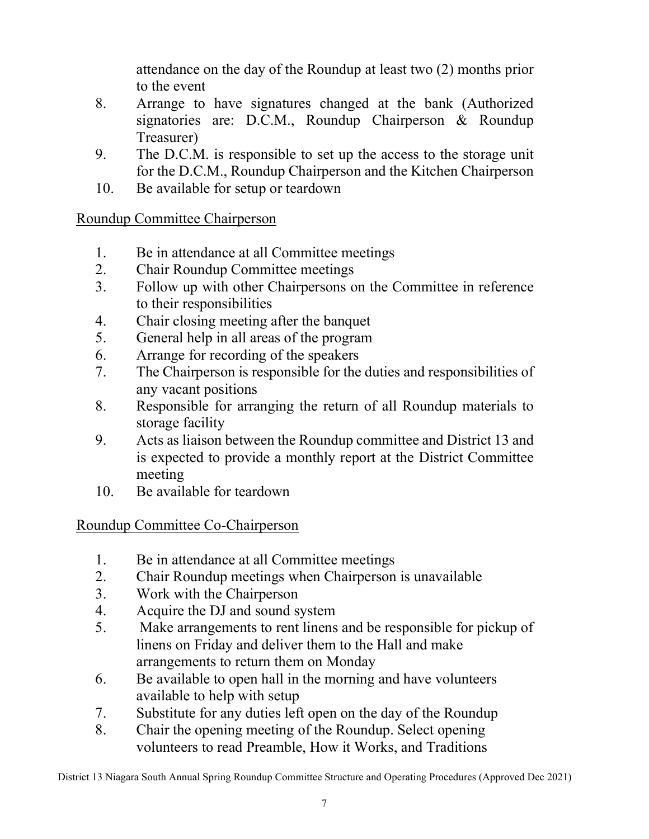attendance on the day of the Roundup at least two (2) months prior to the event

- 8. Arrange to have signatures changed at the bank (Authorized signatories are: D.C.M., Roundup Chairperson & Roundup Treasurer)
- 9. The D.C.M. is responsible to set up the access to the storage unit for the D.C.M., Roundup Chairperson and the Kitchen Chairperson
- 10. Be available for setup or teardown

## Roundup Committee Chairperson

- 1. Be in attendance at all Committee meetings
- 2. Chair Roundup Committee meetings
- 3. Follow up with other Chairpersons on the Committee in reference to their responsibilities
- 4. Chair closing meeting after the banquet
- 5. General help in all areas of the program
- 6. Arrange for recording of the speakers
- 7. The Chairperson is responsible for the duties and responsibilities of any vacant positions
- 8. Responsible for arranging the return of all Roundup materials to storage facility
- 9. Acts as liaison between the Roundup committee and District 13 and is expected to provide a monthly report at the District Committee meeting
- 10. Be available for teardown

## Roundup Committee Co-Chairperson

- 1. Be in attendance at all Committee meetings
- 2. Chair Roundup meetings when Chairperson is unavailable
- 3. Work with the Chairperson
- 4. Acquire the DJ and sound system
- 5. Make arrangements to rent linens and be responsible for pickup of linens on Friday and deliver them to the Hall and make arrangements to return them on Monday
- 6. Be available to open hall in the morning and have volunteers available to help with setup
- 7. Substitute for any duties left open on the day of the Roundup
- 8. Chair the opening meeting of the Roundup. Select opening volunteers to read Preamble, How it Works, and Traditions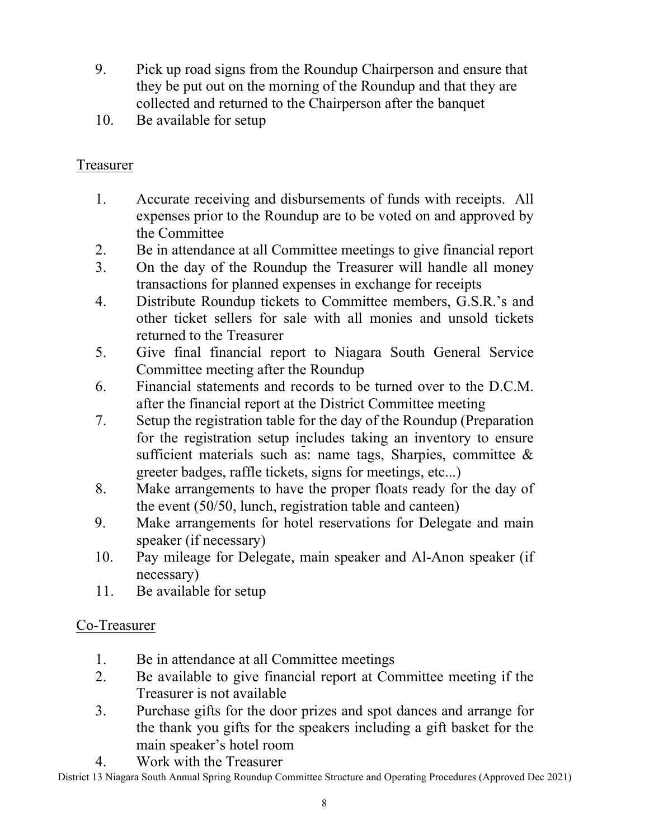- 9. Pick up road signs from the Roundup Chairperson and ensure that they be put out on the morning of the Roundup and that they are collected and returned to the Chairperson after the banquet
- 10. Be available for setup

## Treasurer

- 1. Accurate receiving and disbursements of funds with receipts. All expenses prior to the Roundup are to be voted on and approved by the Committee
- 2. Be in attendance at all Committee meetings to give financial report
- 3. On the day of the Roundup the Treasurer will handle all money transactions for planned expenses in exchange for receipts
- 4. Distribute Roundup tickets to Committee members, G.S.R.'s and other ticket sellers for sale with all monies and unsold tickets returned to the Treasurer
- 5. Give final financial report to Niagara South General Service Committee meeting after the Roundup
- 6. Financial statements and records to be turned over to the D.C.M. after the financial report at the District Committee meeting
- 7. Setup the registration table for the day of the Roundup (Preparation for the registration setup includes taking an inventory to ensure sufficient materials such as: name tags, Sharpies, committee  $\&$ greeter badges, raffle tickets, signs for meetings, etc...)
- 8. Make arrangements to have the proper floats ready for the day of the event (50/50, lunch, registration table and canteen)
- 9. Make arrangements for hotel reservations for Delegate and main speaker (if necessary)
- 10. Pay mileage for Delegate, main speaker and Al-Anon speaker (if necessary)
- 11. Be available for setup

## Co-Treasurer

- 1. Be in attendance at all Committee meetings
- 2. Be available to give financial report at Committee meeting if the Treasurer is not available
- 3. Purchase gifts for the door prizes and spot dances and arrange for the thank you gifts for the speakers including a gift basket for the main speaker's hotel room
- 4. Work with the Treasurer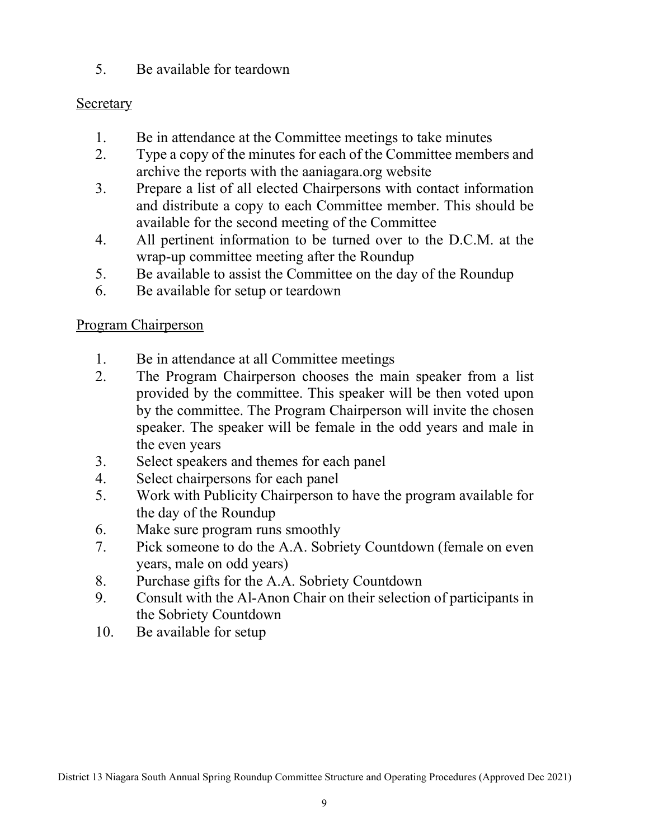5. Be available for teardown

#### Secretary

- 1. Be in attendance at the Committee meetings to take minutes
- 2. Type a copy of the minutes for each of the Committee members and archive the reports with the aaniagara.org website
- 3. Prepare a list of all elected Chairpersons with contact information and distribute a copy to each Committee member. This should be available for the second meeting of the Committee
- 4. All pertinent information to be turned over to the D.C.M. at the wrap-up committee meeting after the Roundup
- 5. Be available to assist the Committee on the day of the Roundup
- 6. Be available for setup or teardown

## Program Chairperson

- 1. Be in attendance at all Committee meetings
- 2. The Program Chairperson chooses the main speaker from a list provided by the committee. This speaker will be then voted upon by the committee. The Program Chairperson will invite the chosen speaker. The speaker will be female in the odd years and male in the even years
- 3. Select speakers and themes for each panel
- 4. Select chairpersons for each panel
- 5. Work with Publicity Chairperson to have the program available for the day of the Roundup
- 6. Make sure program runs smoothly
- 7. Pick someone to do the A.A. Sobriety Countdown (female on even years, male on odd years)
- 8. Purchase gifts for the A.A. Sobriety Countdown
- 9. Consult with the Al-Anon Chair on their selection of participants in the Sobriety Countdown
- 10. Be available for setup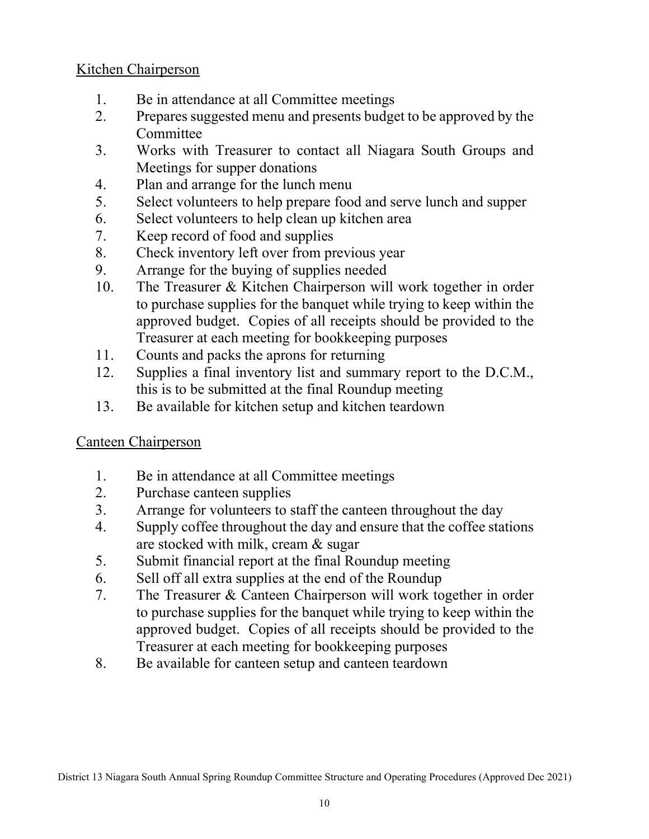#### Kitchen Chairperson

- 1. Be in attendance at all Committee meetings
- 2. Prepares suggested menu and presents budget to be approved by the Committee
- 3. Works with Treasurer to contact all Niagara South Groups and Meetings for supper donations
- 4. Plan and arrange for the lunch menu
- 5. Select volunteers to help prepare food and serve lunch and supper
- 6. Select volunteers to help clean up kitchen area
- 7. Keep record of food and supplies
- 8. Check inventory left over from previous year
- 9. Arrange for the buying of supplies needed
- 10. The Treasurer & Kitchen Chairperson will work together in order to purchase supplies for the banquet while trying to keep within the approved budget. Copies of all receipts should be provided to the Treasurer at each meeting for bookkeeping purposes
- 11. Counts and packs the aprons for returning
- 12. Supplies a final inventory list and summary report to the D.C.M., this is to be submitted at the final Roundup meeting
- 13. Be available for kitchen setup and kitchen teardown

## Canteen Chairperson

- 1. Be in attendance at all Committee meetings
- 2. Purchase canteen supplies
- 3. Arrange for volunteers to staff the canteen throughout the day
- 4. Supply coffee throughout the day and ensure that the coffee stations are stocked with milk, cream & sugar
- 5. Submit financial report at the final Roundup meeting
- 6. Sell off all extra supplies at the end of the Roundup
- 7. The Treasurer & Canteen Chairperson will work together in order to purchase supplies for the banquet while trying to keep within the approved budget. Copies of all receipts should be provided to the Treasurer at each meeting for bookkeeping purposes
- 8. Be available for canteen setup and canteen teardown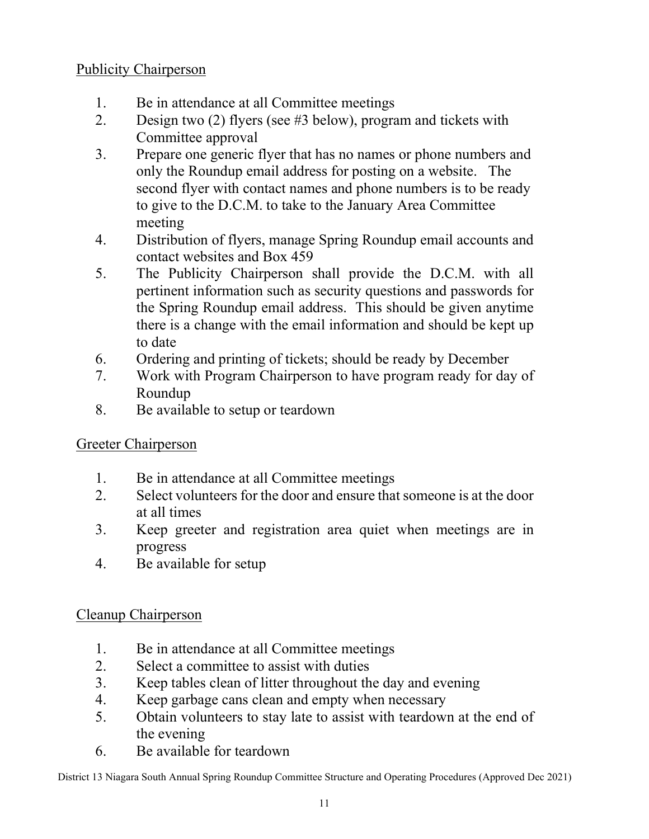#### Publicity Chairperson

- 1. Be in attendance at all Committee meetings
- 2. Design two (2) flyers (see #3 below), program and tickets with Committee approval
- 3. Prepare one generic flyer that has no names or phone numbers and only the Roundup email address for posting on a website. The second flyer with contact names and phone numbers is to be ready to give to the D.C.M. to take to the January Area Committee meeting
- 4. Distribution of flyers, manage Spring Roundup email accounts and contact websites and Box 459
- 5. The Publicity Chairperson shall provide the D.C.M. with all pertinent information such as security questions and passwords for the Spring Roundup email address. This should be given anytime there is a change with the email information and should be kept up to date
- 6. Ordering and printing of tickets; should be ready by December
- 7. Work with Program Chairperson to have program ready for day of Roundup
- 8. Be available to setup or teardown

## Greeter Chairperson

- 1. Be in attendance at all Committee meetings
- 2. Select volunteers for the door and ensure that someone is at the door at all times
- 3. Keep greeter and registration area quiet when meetings are in progress
- 4. Be available for setup

#### Cleanup Chairperson

- 1. Be in attendance at all Committee meetings
- 2. Select a committee to assist with duties
- 3. Keep tables clean of litter throughout the day and evening
- 4. Keep garbage cans clean and empty when necessary
- 5. Obtain volunteers to stay late to assist with teardown at the end of the evening
- 6. Be available for teardown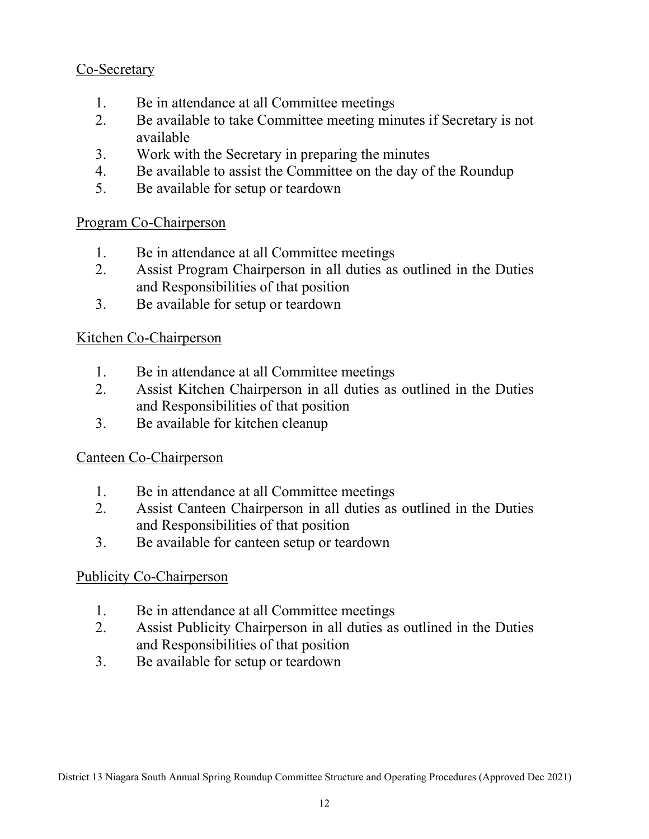## Co-Secretary

- 1. Be in attendance at all Committee meetings
- 2. Be available to take Committee meeting minutes if Secretary is not available
- 3. Work with the Secretary in preparing the minutes
- 4. Be available to assist the Committee on the day of the Roundup
- 5. Be available for setup or teardown

#### Program Co-Chairperson

- 1. Be in attendance at all Committee meetings
- 2. Assist Program Chairperson in all duties as outlined in the Duties and Responsibilities of that position
- 3. Be available for setup or teardown

#### Kitchen Co-Chairperson

- 1. Be in attendance at all Committee meetings
- 2. Assist Kitchen Chairperson in all duties as outlined in the Duties and Responsibilities of that position
- 3. Be available for kitchen cleanup

#### Canteen Co-Chairperson

- 1. Be in attendance at all Committee meetings
- 2. Assist Canteen Chairperson in all duties as outlined in the Duties and Responsibilities of that position
- 3. Be available for canteen setup or teardown

## Publicity Co-Chairperson

- 1. Be in attendance at all Committee meetings
- 2. Assist Publicity Chairperson in all duties as outlined in the Duties and Responsibilities of that position
- 3. Be available for setup or teardown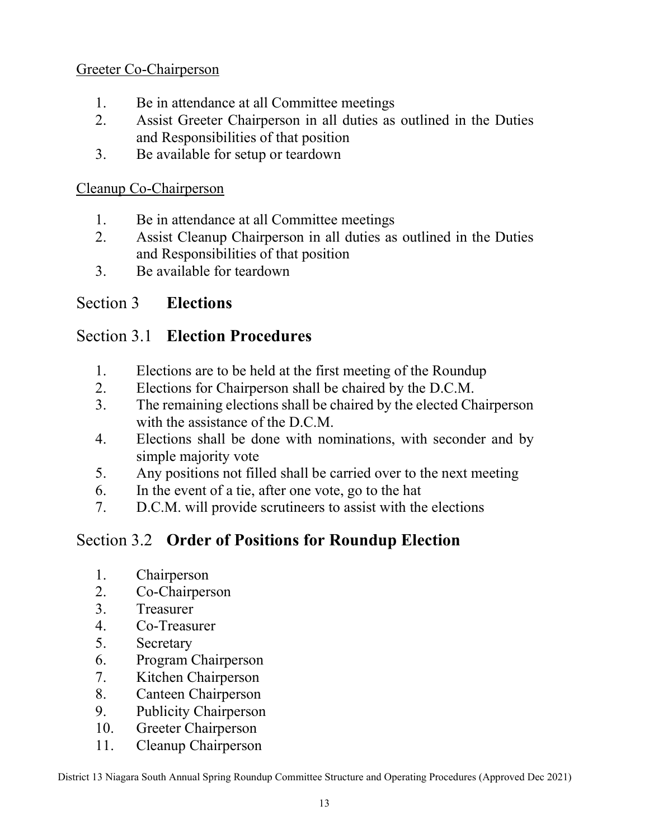## Greeter Co-Chairperson

- 1. Be in attendance at all Committee meetings
- 2. Assist Greeter Chairperson in all duties as outlined in the Duties and Responsibilities of that position
- 3. Be available for setup or teardown

#### Cleanup Co-Chairperson

- 1. Be in attendance at all Committee meetings
- 2. Assist Cleanup Chairperson in all duties as outlined in the Duties and Responsibilities of that position
- 3. Be available for teardown

# Section 3 Elections

# Section 3.1 Election Procedures

- 1. Elections are to be held at the first meeting of the Roundup
- 2. Elections for Chairperson shall be chaired by the D.C.M.
- 3. The remaining elections shall be chaired by the elected Chairperson with the assistance of the D.C.M.
- 4. Elections shall be done with nominations, with seconder and by simple majority vote
- 5. Any positions not filled shall be carried over to the next meeting
- 6. In the event of a tie, after one vote, go to the hat
- 7. D.C.M. will provide scrutineers to assist with the elections

# Section 3.2 Order of Positions for Roundup Election

- 1. Chairperson
- 2. Co-Chairperson
- 3. Treasurer
- 4. Co-Treasurer
- 5. Secretary
- 6. Program Chairperson
- 7. Kitchen Chairperson
- 8. Canteen Chairperson
- 9. Publicity Chairperson
- 10. Greeter Chairperson
- 11. Cleanup Chairperson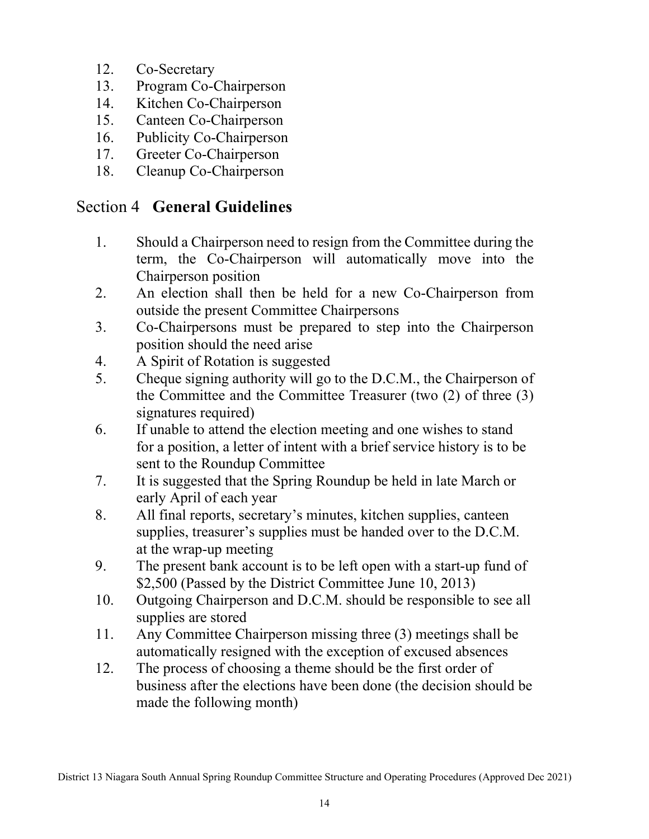- 12. Co-Secretary
- 13. Program Co-Chairperson
- 14. Kitchen Co-Chairperson
- 15. Canteen Co-Chairperson
- 16. Publicity Co-Chairperson
- 17. Greeter Co-Chairperson
- 18. Cleanup Co-Chairperson

# Section 4 General Guidelines

- 1. Should a Chairperson need to resign from the Committee during the term, the Co-Chairperson will automatically move into the Chairperson position
- 2. An election shall then be held for a new Co-Chairperson from outside the present Committee Chairpersons
- 3. Co-Chairpersons must be prepared to step into the Chairperson position should the need arise
- 4. A Spirit of Rotation is suggested
- 5. Cheque signing authority will go to the D.C.M., the Chairperson of the Committee and the Committee Treasurer (two (2) of three (3) signatures required)
- 6. If unable to attend the election meeting and one wishes to stand for a position, a letter of intent with a brief service history is to be sent to the Roundup Committee
- 7. It is suggested that the Spring Roundup be held in late March or early April of each year
- 8. All final reports, secretary's minutes, kitchen supplies, canteen supplies, treasurer's supplies must be handed over to the D.C.M. at the wrap-up meeting
- 9. The present bank account is to be left open with a start-up fund of \$2,500 (Passed by the District Committee June 10, 2013)
- 10. Outgoing Chairperson and D.C.M. should be responsible to see all supplies are stored
- 11. Any Committee Chairperson missing three (3) meetings shall be automatically resigned with the exception of excused absences
- 12. The process of choosing a theme should be the first order of business after the elections have been done (the decision should be made the following month)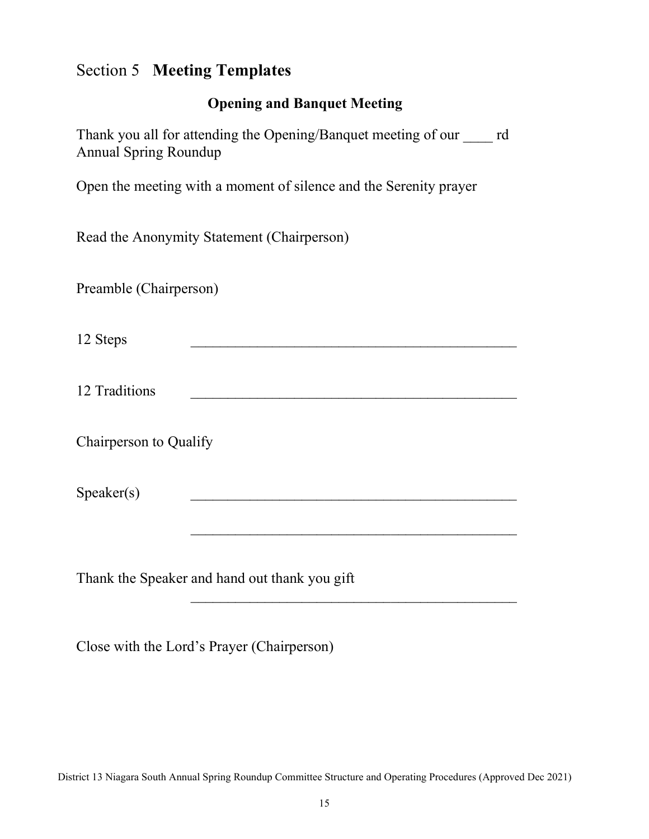# Section 5 Meeting Templates

#### Opening and Banquet Meeting

Thank you all for attending the Opening/Banquet meeting of our \_\_\_\_ rd Annual Spring Roundup

Open the meeting with a moment of silence and the Serenity prayer

Read the Anonymity Statement (Chairperson)

Preamble (Chairperson)

12 Steps

12 Traditions **and the set of the set of the set of the set of the set of the set of the set of the set of the set of the set of the set of the set of the set of the set of the set of the set of the set of the set of the s** 

 $\mathcal{L}_\mathcal{L} = \mathcal{L}_\mathcal{L} = \mathcal{L}_\mathcal{L} = \mathcal{L}_\mathcal{L} = \mathcal{L}_\mathcal{L} = \mathcal{L}_\mathcal{L} = \mathcal{L}_\mathcal{L} = \mathcal{L}_\mathcal{L} = \mathcal{L}_\mathcal{L} = \mathcal{L}_\mathcal{L} = \mathcal{L}_\mathcal{L} = \mathcal{L}_\mathcal{L} = \mathcal{L}_\mathcal{L} = \mathcal{L}_\mathcal{L} = \mathcal{L}_\mathcal{L} = \mathcal{L}_\mathcal{L} = \mathcal{L}_\mathcal{L}$ 

Chairperson to Qualify

Speaker(s)

Thank the Speaker and hand out thank you gift

Close with the Lord's Prayer (Chairperson)